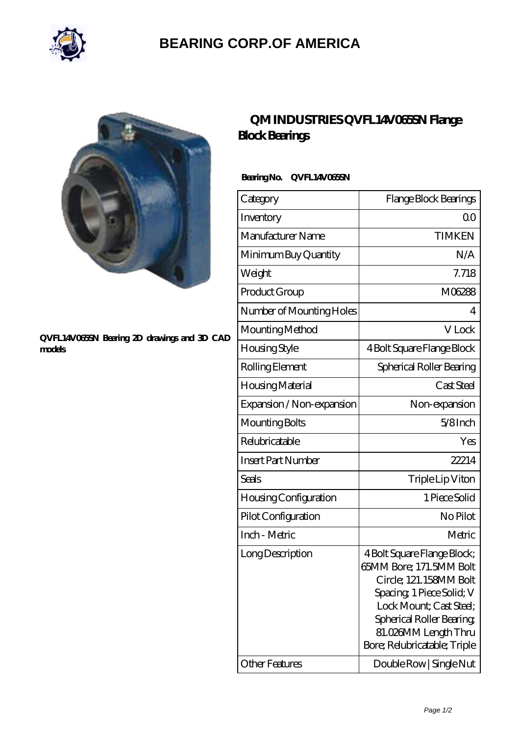

## **[BEARING CORP.OF AMERICA](https://bluemondayreview.com)**



#### **[QVFL14V065SN Bearing 2D drawings and 3D CAD](https://bluemondayreview.com/pic-175408.html) [models](https://bluemondayreview.com/pic-175408.html)**

## **[QM INDUSTRIES QVFL14V065SN Flange](https://bluemondayreview.com/aw-175408-qm-industries-qvfl14v065sn-flange-block-bearings.html) [Block Bearings](https://bluemondayreview.com/aw-175408-qm-industries-qvfl14v065sn-flange-block-bearings.html)**

### **Bearing No. QVFL14V065SN**

| Category                  | Flange Block Bearings                                                                                                                                                                                                        |
|---------------------------|------------------------------------------------------------------------------------------------------------------------------------------------------------------------------------------------------------------------------|
| Inventory                 | Q0                                                                                                                                                                                                                           |
| Manufacturer Name         | <b>TIMKEN</b>                                                                                                                                                                                                                |
| Minimum Buy Quantity      | N/A                                                                                                                                                                                                                          |
| Weight                    | 7.718                                                                                                                                                                                                                        |
| Product Group             | M06288                                                                                                                                                                                                                       |
| Number of Mounting Holes  | 4                                                                                                                                                                                                                            |
| Mounting Method           | V Lock                                                                                                                                                                                                                       |
| <b>Housing Style</b>      | 4 Bolt Square Flange Block                                                                                                                                                                                                   |
| Rolling Element           | Spherical Roller Bearing                                                                                                                                                                                                     |
| Housing Material          | Cast Steel                                                                                                                                                                                                                   |
| Expansion / Non-expansion | Non-expansion                                                                                                                                                                                                                |
| Mounting Bolts            | $5/8$ Inch                                                                                                                                                                                                                   |
| Relubricatable            | Yes                                                                                                                                                                                                                          |
| <b>Insert Part Number</b> | 22214                                                                                                                                                                                                                        |
| Seals                     | Triple Lip Viton                                                                                                                                                                                                             |
| Housing Configuration     | 1 Piece Solid                                                                                                                                                                                                                |
| Pilot Configuration       | No Pilot                                                                                                                                                                                                                     |
| Inch - Metric             | Metric                                                                                                                                                                                                                       |
| Long Description          | 4 Bolt Square Flange Block;<br>65MM Bore; 171.5MM Bolt<br>Circle; 121.158MM Bolt<br>Spacing, 1 Piece Solid; V<br>Lock Mount; Cast Steel;<br>Spherical Roller Bearing<br>81.026MM Length Thru<br>Bore; Relubricatable; Triple |
| Other Features            | Double Row   Single Nut                                                                                                                                                                                                      |